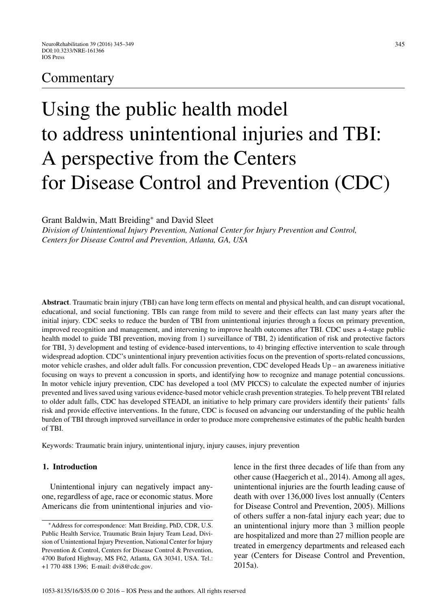# **Commentary**

# Using the public health model to address unintentional injuries and TBI: A perspective from the Centers for Disease Control and Prevention (CDC)

Grant Baldwin, Matt Breiding<sup>∗</sup> and David Sleet

*Division of Unintentional Injury Prevention, National Center for Injury Prevention and Control, Centers for Disease Control and Prevention, Atlanta, GA, USA*

**Abstract**. Traumatic brain injury (TBI) can have long term effects on mental and physical health, and can disrupt vocational, educational, and social functioning. TBIs can range from mild to severe and their effects can last many years after the initial injury. CDC seeks to reduce the burden of TBI from unintentional injuries through a focus on primary prevention, improved recognition and management, and intervening to improve health outcomes after TBI. CDC uses a 4-stage public health model to guide TBI prevention, moving from 1) surveillance of TBI, 2) identification of risk and protective factors for TBI, 3) development and testing of evidence-based interventions, to 4) bringing effective intervention to scale through widespread adoption. CDC's unintentional injury prevention activities focus on the prevention of sports-related concussions, motor vehicle crashes, and older adult falls. For concussion prevention, CDC developed Heads Up – an awareness initiative focusing on ways to prevent a concussion in sports, and identifying how to recognize and manage potential concussions. In motor vehicle injury prevention, CDC has developed a tool (MV PICCS) to calculate the expected number of injuries prevented and lives saved using various evidence-based motor vehicle crash prevention strategies. To help prevent TBI related to older adult falls, CDC has developed STEADI, an initiative to help primary care providers identify their patients' falls risk and provide effective interventions. In the future, CDC is focused on advancing our understanding of the public health burden of TBI through improved surveillance in order to produce more comprehensive estimates of the public health burden of TBI.

Keywords: Traumatic brain injury, unintentional injury, injury causes, injury prevention

#### **1. Introduction**

Unintentional injury can negatively impact anyone, regardless of age, race or economic status. More Americans die from unintentional injuries and violence in the first three decades of life than from any other cause (Haegerich et al., 2014). Among all ages, unintentional injuries are the fourth leading cause of death with over 136,000 lives lost annually (Centers for Disease Control and Prevention, 2005). Millions of others suffer a non-fatal injury each year; due to an unintentional injury more than 3 million people are hospitalized and more than 27 million people are treated in emergency departments and released each year (Centers for Disease Control and Prevention, 2015a).

<sup>∗</sup>Address for correspondence: Matt Breiding, PhD, CDR, U.S. Public Health Service, Traumatic Brain Injury Team Lead, Division of Unintentional Injury Prevention, National Center for Injury Prevention & Control, Centers for Disease Control & Prevention, 4700 Buford Highway, MS F62, Atlanta, GA 30341, USA. Tel.: +1 770 488 1396; E-mail: [dvi8@cdc.gov.](mailto:dvi8@cdc.gov)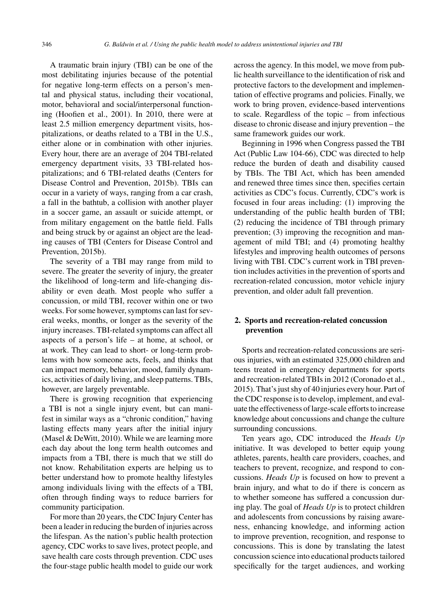A traumatic brain injury (TBI) can be one of the most debilitating injuries because of the potential for negative long-term effects on a person's mental and physical status, including their vocational, motor, behavioral and social/interpersonal functioning (Hoofien et al., 2001). In 2010, there were at least 2.5 million emergency department visits, hospitalizations, or deaths related to a TBI in the U.S., either alone or in combination with other injuries. Every hour, there are an average of 204 TBI-related emergency department visits, 33 TBI-related hospitalizations; and 6 TBI-related deaths (Centers for Disease Control and Prevention, 2015b). TBIs can occur in a variety of ways, ranging from a car crash, a fall in the bathtub, a collision with another player in a soccer game, an assault or suicide attempt, or from military engagement on the battle field. Falls and being struck by or against an object are the leading causes of TBI (Centers for Disease Control and Prevention, 2015b).

The severity of a TBI may range from mild to severe. The greater the severity of injury, the greater the likelihood of long-term and life-changing disability or even death. Most people who suffer a concussion, or mild TBI, recover within one or two weeks. For some however, symptoms can last for several weeks, months, or longer as the severity of the injury increases. TBI-related symptoms can affect all aspects of a person's life – at home, at school, or at work. They can lead to short- or long-term problems with how someone acts, feels, and thinks that can impact memory, behavior, mood, family dynamics, activities of daily living, and sleep patterns. TBIs, however, are largely preventable.

There is growing recognition that experiencing a TBI is not a single injury event, but can manifest in similar ways as a "chronic condition," having lasting effects many years after the initial injury (Masel & DeWitt, 2010). While we are learning more each day about the long term health outcomes and impacts from a TBI, there is much that we still do not know. Rehabilitation experts are helping us to better understand how to promote healthy lifestyles among individuals living with the effects of a TBI, often through finding ways to reduce barriers for community participation.

For more than 20 years, the CDC Injury Center has been a leader in reducing the burden of injuries across the lifespan. As the nation's public health protection agency, CDC works to save lives, protect people, and save health care costs through prevention. CDC uses the four-stage public health model to guide our work across the agency. In this model, we move from public health surveillance to the identification of risk and protective factors to the development and implementation of effective programs and policies. Finally, we work to bring proven, evidence-based interventions to scale. Regardless of the topic – from infectious disease to chronic disease and injury prevention – the same framework guides our work.

Beginning in 1996 when Congress passed the TBI Act (Public Law 104-66), CDC was directed to help reduce the burden of death and disability caused by TBIs. The TBI Act, which has been amended and renewed three times since then, specifies certain activities as CDC's focus. Currently, CDC's work is focused in four areas including: (1) improving the understanding of the public health burden of TBI; (2) reducing the incidence of TBI through primary prevention; (3) improving the recognition and management of mild TBI; and (4) promoting healthy lifestyles and improving health outcomes of persons living with TBI. CDC's current work in TBI prevention includes activities in the prevention of sports and recreation-related concussion, motor vehicle injury prevention, and older adult fall prevention.

### **2. Sports and recreation-related concussion prevention**

Sports and recreation-related concussions are serious injuries, with an estimated 325,000 children and teens treated in emergency departments for sports and recreation-related TBIs in 2012 (Coronado et al., 2015). That's just shy of 40 injuries every hour. Part of the CDC response is to develop, implement, and evaluate the effectiveness of large-scale efforts to increase knowledge about concussions and change the culture surrounding concussions.

Ten years ago, CDC introduced the *Heads Up* initiative. It was developed to better equip young athletes, parents, health care providers, coaches, and teachers to prevent, recognize, and respond to concussions. *Heads Up* is focused on how to prevent a brain injury, and what to do if there is concern as to whether someone has suffered a concussion during play. The goal of *Heads Up* is to protect children and adolescents from concussions by raising awareness, enhancing knowledge, and informing action to improve prevention, recognition, and response to concussions. This is done by translating the latest concussion science into educational products tailored specifically for the target audiences, and working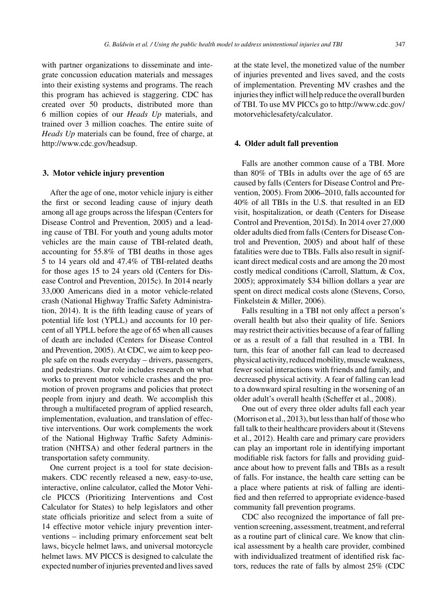with partner organizations to disseminate and integrate concussion education materials and messages into their existing systems and programs. The reach this program has achieved is staggering. CDC has created over 50 products, distributed more than 6 million copies of our *Heads Up* materials, and trained over 3 million coaches. The entire suite of *Heads Up* materials can be found, free of charge, at [http://www.cdc.gov/headsup.](http://www.cdc.gov/headsup)

#### **3. Motor vehicle injury prevention**

After the age of one, motor vehicle injury is either the first or second leading cause of injury death among all age groups across the lifespan (Centers for Disease Control and Prevention, 2005) and a leading cause of TBI. For youth and young adults motor vehicles are the main cause of TBI-related death, accounting for 55.8% of TBI deaths in those ages 5 to 14 years old and 47.4% of TBI-related deaths for those ages 15 to 24 years old (Centers for Disease Control and Prevention, 2015c). In 2014 nearly 33,000 Americans died in a motor vehicle-related crash (National Highway Traffic Safety Administration, 2014). It is the fifth leading cause of years of potential life lost (YPLL) and accounts for 10 percent of all YPLL before the age of 65 when all causes of death are included (Centers for Disease Control and Prevention, 2005). At CDC, we aim to keep people safe on the roads everyday – drivers, passengers, and pedestrians. Our role includes research on what works to prevent motor vehicle crashes and the promotion of proven programs and policies that protect people from injury and death. We accomplish this through a multifaceted program of applied research, implementation, evaluation, and translation of effective interventions. Our work complements the work of the National Highway Traffic Safety Administration (NHTSA) and other federal partners in the transportation safety community.

One current project is a tool for state decisionmakers. CDC recently released a new, easy-to-use, interactive, online calculator, called the Motor Vehicle PICCS (Prioritizing Interventions and Cost Calculator for States) to help legislators and other state officials prioritize and select from a suite of 14 effective motor vehicle injury prevention interventions – including primary enforcement seat belt laws, bicycle helmet laws, and universal motorcycle helmet laws. MV PICCS is designed to calculate the expected number of injuries prevented and lives saved

at the state level, the monetized value of the number of injuries prevented and lives saved, and the costs of implementation. Preventing MV crashes and the injuries they inflict will help reduce the overall burden of TBI. To use MV PICCs go to [http://www.cdc.gov/](http://www.cdc.gov/motorvehiclesafety/calculator) [motorvehiclesafety/calculator](http://www.cdc.gov/motorvehiclesafety/calculator).

#### **4. Older adult fall prevention**

Falls are another common cause of a TBI. More than 80% of TBIs in adults over the age of 65 are caused by falls (Centers for Disease Control and Prevention, 2005). From 2006–2010, falls accounted for 40% of all TBIs in the U.S. that resulted in an ED visit, hospitalization, or death (Centers for Disease Control and Prevention, 2015d). In 2014 over 27,000 older adults died from falls (Centers for Disease Control and Prevention, 2005) and about half of these fatalities were due to TBIs. Falls also result in significant direct medical costs and are among the 20 most costly medical conditions (Carroll, Slattum, & Cox, 2005); approximately \$34 billion dollars a year are spent on direct medical costs alone (Stevens, Corso, Finkelstein & Miller, 2006).

Falls resulting in a TBI not only affect a person's overall health but also their quality of life. Seniors may restrict their activities because of a fear of falling or as a result of a fall that resulted in a TBI. In turn, this fear of another fall can lead to decreased physical activity, reduced mobility, muscle weakness, fewer social interactions with friends and family, and decreased physical activity. A fear of falling can lead to a downward spiral resulting in the worsening of an older adult's overall health (Scheffer et al., 2008).

One out of every three older adults fall each year (Morrison et al., 2013), but less than half of those who fall talk to their healthcare providers about it (Stevens et al., 2012). Health care and primary care providers can play an important role in identifying important modifiable risk factors for falls and providing guidance about how to prevent falls and TBIs as a result of falls. For instance, the health care setting can be a place where patients at risk of falling are identified and then referred to appropriate evidence-based community fall prevention programs.

CDC also recognized the importance of fall prevention screening, assessment, treatment, and referral as a routine part of clinical care. We know that clinical assessment by a health care provider, combined with individualized treatment of identified risk factors, reduces the rate of falls by almost 25% (CDC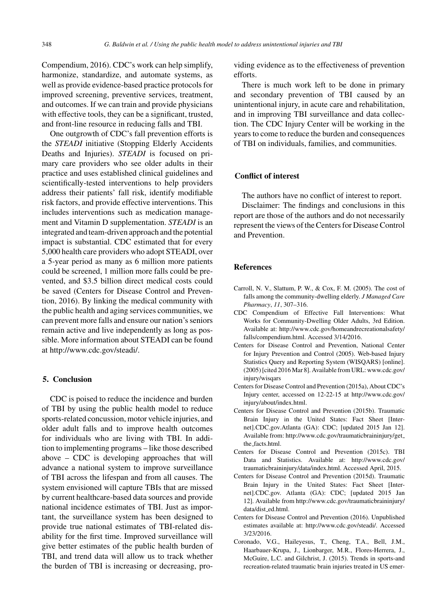Compendium, 2016). CDC's work can help simplify, harmonize, standardize, and automate systems, as well as provide evidence-based practice protocols for improved screening, preventive services, treatment, and outcomes. If we can train and provide physicians with effective tools, they can be a significant, trusted, and front-line resource in reducing falls and TBI.

One outgrowth of CDC's fall prevention efforts is the *STEADI* initiative (Stopping Elderly Accidents Deaths and Injuries). *STEADI* is focused on primary care providers who see older adults in their practice and uses established clinical guidelines and scientifically-tested interventions to help providers address their patients' fall risk, identify modifiable risk factors, and provide effective interventions. This includes interventions such as medication management and Vitamin D supplementation. *STEADI* is an integrated and team-driven approach and the potential impact is substantial. CDC estimated that for every 5,000 health care providers who adopt STEADI, over a 5-year period as many as 6 million more patients could be screened, 1 million more falls could be prevented, and \$3.5 billion direct medical costs could be saved (Centers for Disease Control and Prevention, 2016). By linking the medical community with the public health and aging services communities, we can prevent more falls and ensure our nation's seniors remain active and live independently as long as possible. More information about STEADI can be found at [http://www.cdc.gov/steadi/.](http://www.cdc.gov/steadi/)

#### **5. Conclusion**

CDC is poised to reduce the incidence and burden of TBI by using the public health model to reduce sports-related concussion, motor vehicle injuries, and older adult falls and to improve health outcomes for individuals who are living with TBI. In addition to implementing programs – like those described above – CDC is developing approaches that will advance a national system to improve surveillance of TBI across the lifespan and from all causes. The system envisioned will capture TBIs that are missed by current healthcare-based data sources and provide national incidence estimates of TBI. Just as important, the surveillance system has been designed to provide true national estimates of TBI-related disability for the first time. Improved surveillance will give better estimates of the public health burden of TBI, and trend data will allow us to track whether the burden of TBI is increasing or decreasing, providing evidence as to the effectiveness of prevention efforts.

There is much work left to be done in primary and secondary prevention of TBI caused by an unintentional injury, in acute care and rehabilitation, and in improving TBI surveillance and data collection. The CDC Injury Center will be working in the years to come to reduce the burden and consequences of TBI on individuals, families, and communities.

## **Conflict of interest**

The authors have no conflict of interest to report. Disclaimer: The findings and conclusions in this

report are those of the authors and do not necessarily represent the views of the Centers for Disease Control and Prevention.

#### **References**

- Carroll, N. V., Slattum, P. W., & Cox, F. M. (2005). The cost of falls among the community-dwelling elderly. *J Managed Care Pharmacy*, *11*, 307–316.
- CDC Compendium of Effective Fall Interventions: What Works for Community-Dwelling Older Adults, 3rd Edition. Available at: [http://www.cdc.gov/homeandrecreationalsafety/](http://www.cdc.gov/homeandrecreationalsafety/falls/compendium.html) [falls/compendium.html.](http://www.cdc.gov/homeandrecreationalsafety/falls/compendium.html) Accessed 3/14/2016.
- Centers for Disease Control and Prevention, National Center for Injury Prevention and Control (2005). Web-based Injury Statistics Query and Reporting System (WISQARS) [online]. (2005) [cited 2016 Mar 8]. Available from URL: [www.cdc.gov/](www.cdc.gov/injury/wisqars) [injury/wisqars](www.cdc.gov/injury/wisqars)
- Centers for Disease Control and Prevention (2015a), About CDC's Injury center, accessed on 12-22-15 at [http://www.cdc.gov/](http://www.cdc.gov/injury/about/index.html) [injury/about/index.html](http://www.cdc.gov/injury/about/index.html).
- Centers for Disease Control and Prevention (2015b). Traumatic Brain Injury in the United States: Fact Sheet [Internet].CDC.gov.Atlanta (GA): CDC; [updated 2015 Jan 12]. Available from: [http://www.cdc.gov/traumaticbraininjury/get](http://www.cdc.gov/traumaticbraininjury/get_the_facts.html) the [facts.html.](http://www.cdc.gov/traumaticbraininjury/get_the_facts.html)
- Centers for Disease Control and Prevention (2015c). TBI Data and Statistics. Available at: [http://www.cdc.gov/](http://www.cdc.gov/traumaticbraininjury/data/index.html) traumaticbraininjury/data/index.html. Accessed April, 2015.
- Centers for Disease Control and Prevention (2015d). Traumatic Brain Injury in the United States: Fact Sheet [Internet].CDC.gov. Atlanta (GA): CDC; [updated 2015 Jan 12]. Available from [http://www.cdc.gov/traumaticbraininjury/](http://www.cdc.gov/traumaticbraininjury/data/dist_ed.html) data/dist ed.html.
- Centers for Disease Control and Prevention (2016). Unpublished estimates available at: [http://www.cdc.gov/steadi/.](http://www.cdc.gov/steadi/) Accessed 3/23/2016.
- Coronado, V.G., Haileyesus, T., Cheng, T.A., Bell, J.M., Haarbauer-Krupa, J., Lionbarger, M.R., Flores-Herrera, J., McGuire, L.C. and Gilchrist, J. (2015). Trends in sports-and recreation-related traumatic brain injuries treated in US emer-